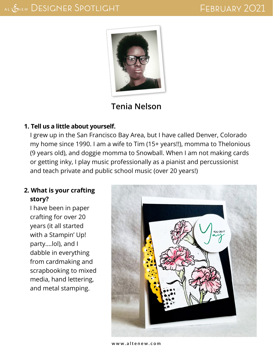

# **Tenia Nelson**

#### **1. Tell us a little about yourself.**

I grew up in the San Francisco Bay Area, but I have called Denver, Colorado my home since 1990. I am a wife to Tim (15+ years!!), momma to Thelonious (9 years old), and doggie momma to Snowball. When I am not making cards or getting inky, I play music professionally as a pianist and percussionist and teach private and public school music (over 20 years!)

## **2. What is your crafting story?**

I have been in paper crafting for over 20 years (it all started with a Stampin' Up! party….lol), and I dabble in everything from cardmaking and scrapbooking to mixed media, hand lettering, and metal stamping.